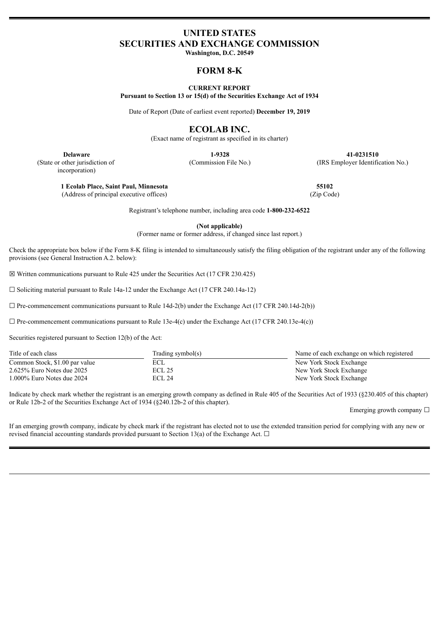# **UNITED STATES SECURITIES AND EXCHANGE COMMISSION**

**Washington, D.C. 20549**

## **FORM 8-K**

## **CURRENT REPORT**

**Pursuant to Section 13 or 15(d) of the Securities Exchange Act of 1934**

Date of Report (Date of earliest event reported) **December 19, 2019**

## **ECOLAB INC.**

(Exact name of registrant as specified in its charter)

**1-9328**

(Commission File No.)

**41-0231510** (IRS Employer Identification No.)

**1 Ecolab Place, Saint Paul, Minnesota**

**Delaware** (State or other jurisdiction of incorporation)

**55102**

(Address of principal executive offices)

(Zip Code)

Registrant's telephone number, including area code **1-800-232-6522**

**(Not applicable)**

(Former name or former address, if changed since last report.)

Check the appropriate box below if the Form 8-K filing is intended to simultaneously satisfy the filing obligation of the registrant under any of the following provisions (see General Instruction A.2. below):

☒ Written communications pursuant to Rule 425 under the Securities Act (17 CFR 230.425)

☐ Soliciting material pursuant to Rule 14a-12 under the Exchange Act (17 CFR 240.14a-12)

 $\Box$  Pre-commencement communications pursuant to Rule 14d-2(b) under the Exchange Act (17 CFR 240.14d-2(b))

 $\Box$  Pre-commencement communications pursuant to Rule 13e-4(c) under the Exchange Act (17 CFR 240.13e-4(c))

Securities registered pursuant to Section 12(b) of the Act:

| Title of each class            | Trading symbol(s) | Name of each exchange on which registered |
|--------------------------------|-------------------|-------------------------------------------|
| Common Stock, \$1.00 par value | ECL               | New York Stock Exchange                   |
| 2.625% Euro Notes due 2025     | ECL 25            | New York Stock Exchange                   |
| $1.000\%$ Euro Notes due 2024  | ECL 24            | New York Stock Exchange                   |

Indicate by check mark whether the registrant is an emerging growth company as defined in Rule 405 of the Securities Act of 1933 (§230.405 of this chapter) or Rule 12b-2 of the Securities Exchange Act of 1934 (§240.12b-2 of this chapter).

Emerging growth company  $\Box$ 

If an emerging growth company, indicate by check mark if the registrant has elected not to use the extended transition period for complying with any new or revised financial accounting standards provided pursuant to Section 13(a) of the Exchange Act.  $\Box$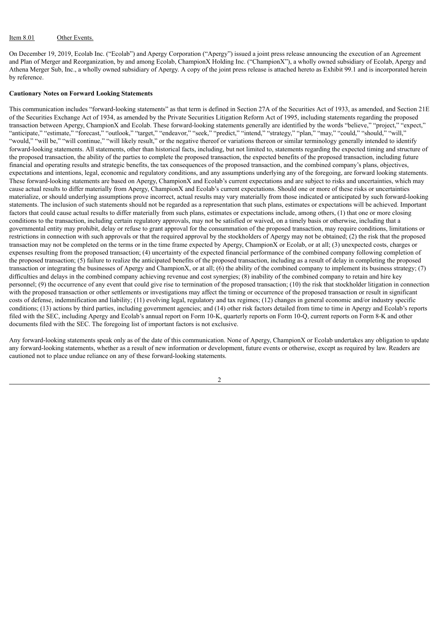#### Item 8.01 Other Events.

On December 19, 2019, Ecolab Inc. ("Ecolab") and Apergy Corporation ("Apergy") issued a joint press release announcing the execution of an Agreement and Plan of Merger and Reorganization, by and among Ecolab, ChampionX Holding Inc. ("ChampionX"), a wholly owned subsidiary of Ecolab, Apergy and Athena Merger Sub, Inc., a wholly owned subsidiary of Apergy. A copy of the joint press release is attached hereto as Exhibit 99.1 and is incorporated herein by reference.

#### **Cautionary Notes on Forward Looking Statements**

This communication includes "forward-looking statements" as that term is defined in Section 27A of the Securities Act of 1933, as amended, and Section 21E of the Securities Exchange Act of 1934, as amended by the Private Securities Litigation Reform Act of 1995, including statements regarding the proposed transaction between Apergy, ChampionX and Ecolab. These forward-looking statements generally are identified by the words "believe," "project," "expect," "anticipate," "estimate," "forecast," "outlook," "target," "endeavor," "seek," "predict," "intend," "strategy," "plan," "may," "could," "should," "will," "would," "will be," "will continue," "will likely result," or the negative thereof or variations thereon or similar terminology generally intended to identify forward-looking statements. All statements, other than historical facts, including, but not limited to, statements regarding the expected timing and structure of the proposed transaction, the ability of the parties to complete the proposed transaction, the expected benefits of the proposed transaction, including future financial and operating results and strategic benefits, the tax consequences of the proposed transaction, and the combined company's plans, objectives, expectations and intentions, legal, economic and regulatory conditions, and any assumptions underlying any of the foregoing, are forward looking statements. These forward-looking statements are based on Apergy, ChampionX and Ecolab's current expectations and are subject to risks and uncertainties, which may cause actual results to differ materially from Apergy, ChampionX and Ecolab's current expectations. Should one or more of these risks or uncertainties materialize, or should underlying assumptions prove incorrect, actual results may vary materially from those indicated or anticipated by such forward-looking statements. The inclusion of such statements should not be regarded as a representation that such plans, estimates or expectations will be achieved. Important factors that could cause actual results to differ materially from such plans, estimates or expectations include, among others, (1) that one or more closing conditions to the transaction, including certain regulatory approvals, may not be satisfied or waived, on a timely basis or otherwise, including that a governmental entity may prohibit, delay or refuse to grant approval for the consummation of the proposed transaction, may require conditions, limitations or restrictions in connection with such approvals or that the required approval by the stockholders of Apergy may not be obtained; (2) the risk that the proposed transaction may not be completed on the terms or in the time frame expected by Apergy, ChampionX or Ecolab, or at all; (3) unexpected costs, charges or expenses resulting from the proposed transaction; (4) uncertainty of the expected financial performance of the combined company following completion of the proposed transaction; (5) failure to realize the anticipated benefits of the proposed transaction, including as a result of delay in completing the proposed transaction or integrating the businesses of Apergy and ChampionX, or at all; (6) the ability of the combined company to implement its business strategy; (7) difficulties and delays in the combined company achieving revenue and cost synergies; (8) inability of the combined company to retain and hire key personnel; (9) the occurrence of any event that could give rise to termination of the proposed transaction; (10) the risk that stockholder litigation in connection with the proposed transaction or other settlements or investigations may affect the timing or occurrence of the proposed transaction or result in significant costs of defense, indemnification and liability; (11) evolving legal, regulatory and tax regimes; (12) changes in general economic and/or industry specific conditions; (13) actions by third parties, including government agencies; and (14) other risk factors detailed from time to time in Apergy and Ecolab's reports filed with the SEC, including Apergy and Ecolab's annual report on Form 10-K, quarterly reports on Form 10-Q, current reports on Form 8-K and other documents filed with the SEC. The foregoing list of important factors is not exclusive.

Any forward-looking statements speak only as of the date of this communication. None of Apergy, ChampionX or Ecolab undertakes any obligation to update any forward-looking statements, whether as a result of new information or development, future events or otherwise, except as required by law. Readers are cautioned not to place undue reliance on any of these forward-looking statements.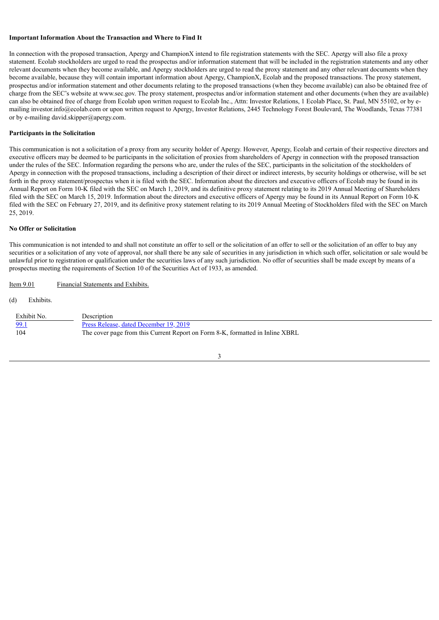#### **Important Information About the Transaction and Where to Find It**

In connection with the proposed transaction, Apergy and ChampionX intend to file registration statements with the SEC. Apergy will also file a proxy statement. Ecolab stockholders are urged to read the prospectus and/or information statement that will be included in the registration statements and any other relevant documents when they become available, and Apergy stockholders are urged to read the proxy statement and any other relevant documents when they become available, because they will contain important information about Apergy, ChampionX, Ecolab and the proposed transactions. The proxy statement, prospectus and/or information statement and other documents relating to the proposed transactions (when they become available) can also be obtained free of charge from the SEC's website at www.sec.gov. The proxy statement, prospectus and/or information statement and other documents (when they are available) can also be obtained free of charge from Ecolab upon written request to Ecolab Inc., Attn: Investor Relations, 1 Ecolab Place, St. Paul, MN 55102, or by emailing investor.info@ecolab.com or upon written request to Apergy, Investor Relations, 2445 Technology Forest Boulevard, The Woodlands, Texas 77381 or by e-mailing david.skipper@apergy.com.

## **Participants in the Solicitation**

This communication is not a solicitation of a proxy from any security holder of Apergy. However, Apergy, Ecolab and certain of their respective directors and executive officers may be deemed to be participants in the solicitation of proxies from shareholders of Apergy in connection with the proposed transaction under the rules of the SEC. Information regarding the persons who are, under the rules of the SEC, participants in the solicitation of the stockholders of Apergy in connection with the proposed transactions, including a description of their direct or indirect interests, by security holdings or otherwise, will be set forth in the proxy statement/prospectus when it is filed with the SEC. Information about the directors and executive officers of Ecolab may be found in its Annual Report on Form 10-K filed with the SEC on March 1, 2019, and its definitive proxy statement relating to its 2019 Annual Meeting of Shareholders filed with the SEC on March 15, 2019. Information about the directors and executive officers of Apergy may be found in its Annual Report on Form 10-K filed with the SEC on February 27, 2019, and its definitive proxy statement relating to its 2019 Annual Meeting of Stockholders filed with the SEC on March 25, 2019.

#### **No Offer or Solicitation**

This communication is not intended to and shall not constitute an offer to sell or the solicitation of an offer to sell or the solicitation of an offer to buy any securities or a solicitation of any vote of approval, nor shall there be any sale of securities in any jurisdiction in which such offer, solicitation or sale would be unlawful prior to registration or qualification under the securities laws of any such jurisdiction. No offer of securities shall be made except by means of a prospectus meeting the requirements of Section 10 of the Securities Act of 1933, as amended.

| Item $9.01$      | Financial Statements and Exhibits.                                            |
|------------------|-------------------------------------------------------------------------------|
| (d)<br>Exhibits. |                                                                               |
| Exhibit No.      | Description                                                                   |
| 99.1             | Press Release, dated December 19, 2019                                        |
| 104              | The cover page from this Current Report on Form 8-K, formatted in Inline XBRL |
|                  |                                                                               |
|                  |                                                                               |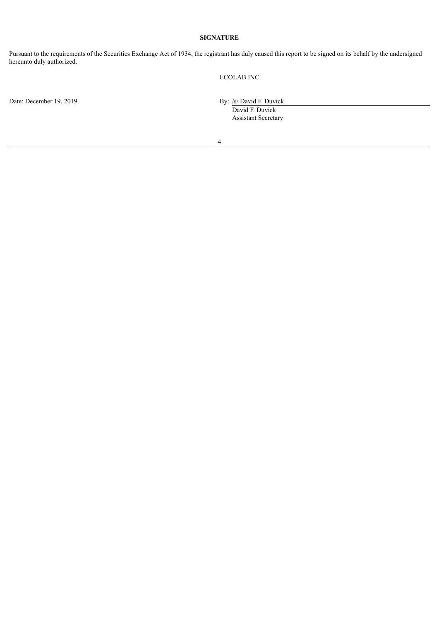## **SIGNATURE**

Pursuant to the requirements of the Securities Exchange Act of 1934, the registrant has duly caused this report to be signed on its behalf by the undersigned hereunto duly authorized.

ECOLAB INC.

Date: December 19, 2019 By: /s/ David F. Duvick

David F. Duvick

Assistant Secretary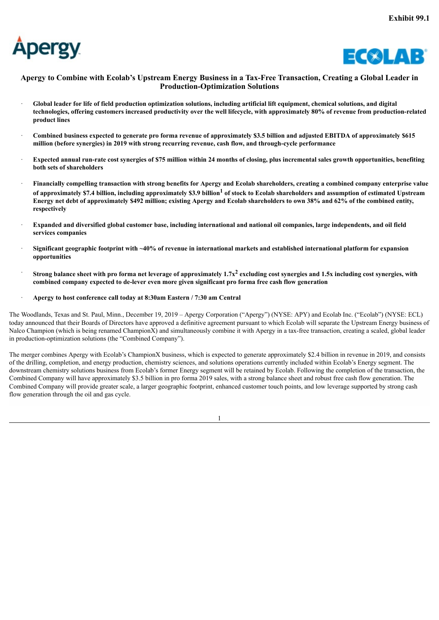<span id="page-4-0"></span>



## **Apergy to Combine with Ecolab's Upstream Energy Business in a Tax-Free Transaction, Creating a Global Leader in Production-Optimization Solutions**

- Global leader for life of field production optimization solutions, including artificial lift equipment, chemical solutions, and digital technologies, offering customers increased productivity over the well lifecycle, with approximately 80% of revenue from production-related **product lines**
- Combined business expected to generate pro forma revenue of approximately \$3.5 billion and adjusted EBITDA of approximately \$615 **million (before synergies) in 2019 with strong recurring revenue, cash flow, and through-cycle performance**
- Expected annual run-rate cost synergies of \$75 million within 24 months of closing, plus incremental sales growth opportunities, benefiting **both sets of shareholders**
- Financially compelling transaction with strong benefits for Apergy and Ecolab shareholders, creating a combined company enterprise value of approximately \$7.4 billion, including approximately \$3.9 billion $^1$  of stock to Ecolab shareholders and assumption of estimated Upstream Energy net debt of approximately \$492 million; existing Apergy and Ecolab shareholders to own 38% and 62% of the combined entity, **respectively**
- Expanded and diversified global customer base, including international and national oil companies, large independents, and oil field **services companies**
- Significant geographic footprint with ~40% of revenue in international markets and established international platform for expansion **opportunities**
- Strong balance sheet with pro forma net leverage of approximately  $1.7x^2$  excluding cost synergies and 1.5x including cost synergies, with **combined company expected to de-lever even more given significant pro forma free cash flow generation**
- · **Apergy to host conference call today at 8:30am Eastern / 7:30 am Central**

The Woodlands, Texas and St. Paul, Minn., December 19, 2019 – Apergy Corporation ("Apergy") (NYSE: APY) and Ecolab Inc. ("Ecolab") (NYSE: ECL) today announced that their Boards of Directors have approved a definitive agreement pursuant to which Ecolab will separate the Upstream Energy business of Nalco Champion (which is being renamed ChampionX) and simultaneously combine it with Apergy in a tax-free transaction, creating a scaled, global leader in production-optimization solutions (the "Combined Company").

The merger combines Apergy with Ecolab's ChampionX business, which is expected to generate approximately \$2.4 billion in revenue in 2019, and consists of the drilling, completion, and energy production, chemistry sciences, and solutions operations currently included within Ecolab's Energy segment. The downstream chemistry solutions business from Ecolab's former Energy segment will be retained by Ecolab. Following the completion of the transaction, the Combined Company will have approximately \$3.5 billion in pro forma 2019 sales, with a strong balance sheet and robust free cash flow generation. The Combined Company will provide greater scale, a larger geographic footprint, enhanced customer touch points, and low leverage supported by strong cash flow generation through the oil and gas cycle.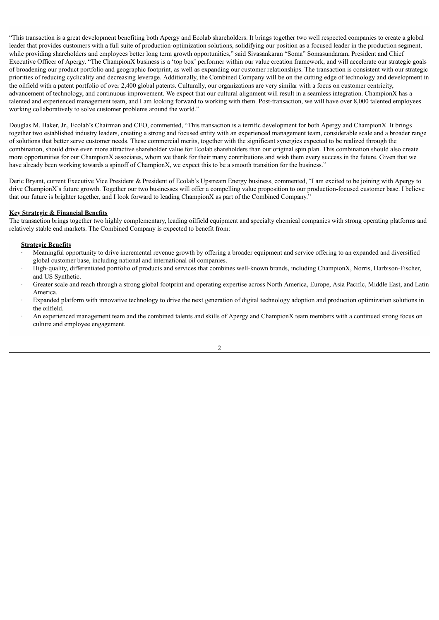"This transaction is a great development benefiting both Apergy and Ecolab shareholders. It brings together two well respected companies to create a global leader that provides customers with a full suite of production-optimization solutions, solidifying our position as a focused leader in the production segment, while providing shareholders and employees better long term growth opportunities," said Sivasankaran "Soma" Somasundaram, President and Chief Executive Officer of Apergy. "The ChampionX business is a 'top box' performer within our value creation framework, and will accelerate our strategic goals of broadening our product portfolio and geographic footprint, as well as expanding our customer relationships. The transaction is consistent with our strategic priorities of reducing cyclicality and decreasing leverage. Additionally, the Combined Company will be on the cutting edge of technology and development in the oilfield with a patent portfolio of over 2,400 global patents. Culturally, our organizations are very similar with a focus on customer centricity, advancement of technology, and continuous improvement. We expect that our cultural alignment will result in a seamless integration. ChampionX has a talented and experienced management team, and I am looking forward to working with them. Post-transaction, we will have over 8,000 talented employees working collaboratively to solve customer problems around the world."

Douglas M. Baker, Jr., Ecolab's Chairman and CEO, commented, "This transaction is a terrific development for both Apergy and ChampionX. It brings together two established industry leaders, creating a strong and focused entity with an experienced management team, considerable scale and a broader range of solutions that better serve customer needs. These commercial merits, together with the significant synergies expected to be realized through the combination, should drive even more attractive shareholder value for Ecolab shareholders than our original spin plan. This combination should also create more opportunities for our ChampionX associates, whom we thank for their many contributions and wish them every success in the future. Given that we have already been working towards a spinoff of ChampionX, we expect this to be a smooth transition for the business."

Deric Bryant, current Executive Vice President & President of Ecolab's Upstream Energy business, commented, "I am excited to be joining with Apergy to drive ChampionX's future growth. Together our two businesses will offer a compelling value proposition to our production-focused customer base. I believe that our future is brighter together, and I look forward to leading ChampionX as part of the Combined Company."

## **Key Strategic & Financial Benefits**

The transaction brings together two highly complementary, leading oilfield equipment and specialty chemical companies with strong operating platforms and relatively stable end markets. The Combined Company is expected to benefit from:

## **Strategic Benefits**

- · Meaningful opportunity to drive incremental revenue growth by offering a broader equipment and service offering to an expanded and diversified global customer base, including national and international oil companies.
- · High-quality, differentiated portfolio of products and services that combines well-known brands, including ChampionX, Norris, Harbison-Fischer, and US Synthetic.
- Greater scale and reach through a strong global footprint and operating expertise across North America, Europe, Asia Pacific, Middle East, and Latin America.
- Expanded platform with innovative technology to drive the next generation of digital technology adoption and production optimization solutions in the oilfield.
- · An experienced management team and the combined talents and skills of Apergy and ChampionX team members with a continued strong focus on culture and employee engagement.

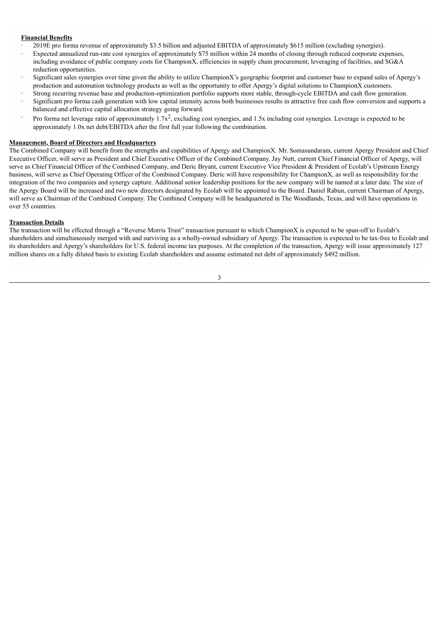## **Financial Benefits**

- · 2019E pro forma revenue of approximately \$3.5 billion and adjusted EBITDA of approximately \$615 million (excluding synergies).
- Expected annualized run-rate cost synergies of approximately \$75 million within 24 months of closing through reduced corporate expenses, including avoidance of public company costs for ChampionX, efficiencies in supply chain procurement, leveraging of facilities, and SG&A reduction opportunities.
- Significant sales synergies over time given the ability to utilize ChampionX's geographic footprint and customer base to expand sales of Apergy's production and automation technology products as well as the opportunity to offer Apergy's digital solutions to ChampionX customers.
- · Strong recurring revenue base and production-optimization portfolio supports more stable, through-cycle EBITDA and cash flow generation.
- · Significant pro forma cash generation with low capital intensity across both businesses results in attractive free cash flow conversion and supports a balanced and effective capital allocation strategy going forward.
- Pro forma net leverage ratio of approximately  $1.7x^2$ , excluding cost synergies, and  $1.5x$  including cost synergies. Leverage is expected to be approximately 1.0x net debt/EBITDA after the first full year following the combination.

#### **Management, Board of Directors and Headquarters**

The Combined Company will benefit from the strengths and capabilities of Apergy and ChampionX. Mr. Somasundaram, current Apergy President and Chief Executive Officer, will serve as President and Chief Executive Officer of the Combined Company. Jay Nutt, current Chief Financial Officer of Apergy, will serve as Chief Financial Officer of the Combined Company, and Deric Bryant, current Executive Vice President & President of Ecolab's Upstream Energy business, will serve as Chief Operating Officer of the Combined Company. Deric will have responsibility for ChampionX, as well as responsibility for the integration of the two companies and synergy capture. Additional senior leadership positions for the new company will be named at a later date. The size of the Apergy Board will be increased and two new directors designated by Ecolab will be appointed to the Board. Daniel Rabun, current Chairman of Apergy, will serve as Chairman of the Combined Company. The Combined Company will be headquartered in The Woodlands. Texas, and will have operations in over 55 countries.

#### **Transaction Details**

The transaction will be effected through a "Reverse Morris Trust" transaction pursuant to which ChampionX is expected to be spun-off to Ecolab's shareholders and simultaneously merged with and surviving as a wholly-owned subsidiary of Apergy. The transaction is expected to be tax-free to Ecolab and its shareholders and Apergy's shareholders for U.S. federal income tax purposes. At the completion of the transaction, Apergy will issue approximately 127 million shares on a fully diluted basis to existing Ecolab shareholders and assume estimated net debt of approximately \$492 million.

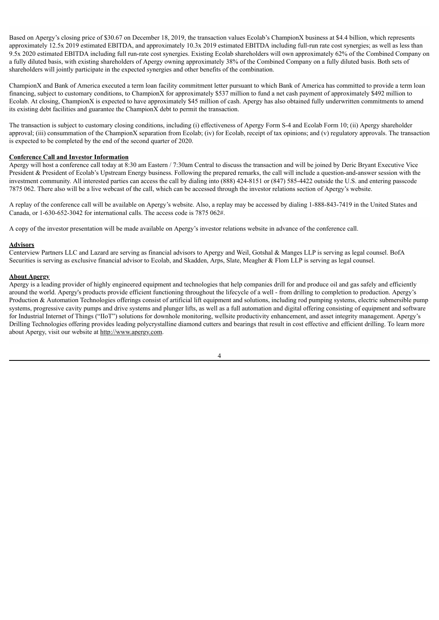Based on Apergy's closing price of \$30.67 on December 18, 2019, the transaction values Ecolab's ChampionX business at \$4.4 billion, which represents approximately 12.5x 2019 estimated EBITDA, and approximately 10.3x 2019 estimated EBITDA including full-run rate cost synergies; as well as less than 9.5x 2020 estimated EBITDA including full run-rate cost synergies. Existing Ecolab shareholders will own approximately 62% of the Combined Company on a fully diluted basis, with existing shareholders of Apergy owning approximately 38% of the Combined Company on a fully diluted basis. Both sets of shareholders will jointly participate in the expected synergies and other benefits of the combination.

ChampionX and Bank of America executed a term loan facility commitment letter pursuant to which Bank of America has committed to provide a term loan financing, subject to customary conditions, to ChampionX for approximately \$537 million to fund a net cash payment of approximately \$492 million to Ecolab. At closing, ChampionX is expected to have approximately \$45 million of cash. Apergy has also obtained fully underwritten commitments to amend its existing debt facilities and guarantee the ChampionX debt to permit the transaction.

The transaction is subject to customary closing conditions, including (i) effectiveness of Apergy Form S-4 and Ecolab Form 10; (ii) Apergy shareholder approval; (iii) consummation of the ChampionX separation from Ecolab; (iv) for Ecolab, receipt of tax opinions; and (v) regulatory approvals. The transaction is expected to be completed by the end of the second quarter of 2020.

## **Conference Call and Investor Information**

Apergy will host a conference call today at 8:30 am Eastern / 7:30am Central to discuss the transaction and will be joined by Deric Bryant Executive Vice President & President of Ecolab's Upstream Energy business. Following the prepared remarks, the call will include a question-and-answer session with the investment community. All interested parties can access the call by dialing into (888) 424-8151 or (847) 585-4422 outside the U.S. and entering passcode 7875 062. There also will be a live webcast of the call, which can be accessed through the investor relations section of Apergy's website.

A replay of the conference call will be available on Apergy's website. Also, a replay may be accessed by dialing 1-888-843-7419 in the United States and Canada, or 1-630-652-3042 for international calls. The access code is 7875 062#.

A copy of the investor presentation will be made available on Apergy's investor relations website in advance of the conference call.

#### **Advisors**

Centerview Partners LLC and Lazard are serving as financial advisors to Apergy and Weil, Gotshal & Manges LLP is serving as legal counsel. BofA Securities is serving as exclusive financial advisor to Ecolab, and Skadden, Arps, Slate, Meagher & Flom LLP is serving as legal counsel.

#### **About Apergy**

Apergy is a leading provider of highly engineered equipment and technologies that help companies drill for and produce oil and gas safely and efficiently around the world. Apergy's products provide efficient functioning throughout the lifecycle of a well - from drilling to completion to production. Apergy's Production & Automation Technologies offerings consist of artificial lift equipment and solutions, including rod pumping systems, electric submersible pump systems, progressive cavity pumps and drive systems and plunger lifts, as well as a full automation and digital offering consisting of equipment and software for Industrial Internet of Things ("IIoT") solutions for downhole monitoring, wellsite productivity enhancement, and asset integrity management. Apergy's Drilling Technologies offering provides leading polycrystalline diamond cutters and bearings that result in cost effective and efficient drilling. To learn more about Apergy, visit our website at http://www.apergy.com.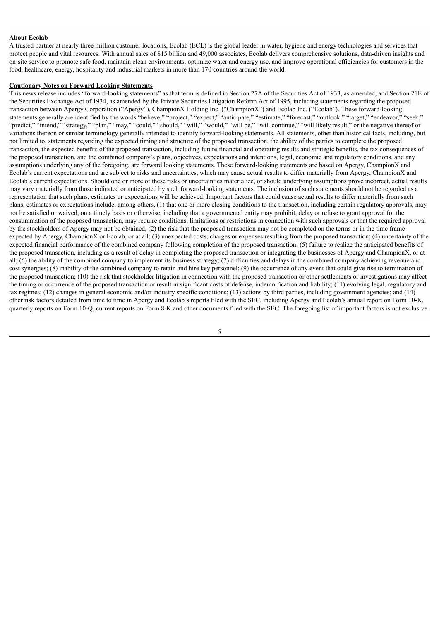## **About Ecolab**

A trusted partner at nearly three million customer locations, Ecolab (ECL) is the global leader in water, hygiene and energy technologies and services that protect people and vital resources. With annual sales of \$15 billion and 49,000 associates, Ecolab delivers comprehensive solutions, data-driven insights and on-site service to promote safe food, maintain clean environments, optimize water and energy use, and improve operational efficiencies for customers in the food, healthcare, energy, hospitality and industrial markets in more than 170 countries around the world.

## **Cautionary Notes on Forward Looking Statements**

This news release includes "forward-looking statements" as that term is defined in Section 27A of the Securities Act of 1933, as amended, and Section 21E of the Securities Exchange Act of 1934, as amended by the Private Securities Litigation Reform Act of 1995, including statements regarding the proposed transaction between Apergy Corporation ("Apergy"), ChampionX Holding Inc. ("ChampionX") and Ecolab Inc. ("Ecolab"). These forward-looking statements generally are identified by the words "believe," "project," "expect," "anticipate," "estimate," "forecast," "outlook," "target," "endeavor," "seek," "predict," "intend," "strategy," "plan," "may," "could," "should," "will," "would," "will be," "will continue," "will likely result," or the negative thereof or variations thereon or similar terminology generally intended to identify forward-looking statements. All statements, other than historical facts, including, but not limited to, statements regarding the expected timing and structure of the proposed transaction, the ability of the parties to complete the proposed transaction, the expected benefits of the proposed transaction, including future financial and operating results and strategic benefits, the tax consequences of the proposed transaction, and the combined company's plans, objectives, expectations and intentions, legal, economic and regulatory conditions, and any assumptions underlying any of the foregoing, are forward looking statements. These forward-looking statements are based on Apergy, ChampionX and Ecolab's current expectations and are subject to risks and uncertainties, which may cause actual results to differ materially from Apergy, ChampionX and Ecolab's current expectations. Should one or more of these risks or uncertainties materialize, or should underlying assumptions prove incorrect, actual results may vary materially from those indicated or anticipated by such forward-looking statements. The inclusion of such statements should not be regarded as a representation that such plans, estimates or expectations will be achieved. Important factors that could cause actual results to differ materially from such plans, estimates or expectations include, among others, (1) that one or more closing conditions to the transaction, including certain regulatory approvals, may not be satisfied or waived, on a timely basis or otherwise, including that a governmental entity may prohibit, delay or refuse to grant approval for the consummation of the proposed transaction, may require conditions, limitations or restrictions in connection with such approvals or that the required approval by the stockholders of Apergy may not be obtained; (2) the risk that the proposed transaction may not be completed on the terms or in the time frame expected by Apergy, ChampionX or Ecolab, or at all; (3) unexpected costs, charges or expenses resulting from the proposed transaction; (4) uncertainty of the expected financial performance of the combined company following completion of the proposed transaction; (5) failure to realize the anticipated benefits of the proposed transaction, including as a result of delay in completing the proposed transaction or integrating the businesses of Apergy and ChampionX, or at all; (6) the ability of the combined company to implement its business strategy; (7) difficulties and delays in the combined company achieving revenue and cost synergies; (8) inability of the combined company to retain and hire key personnel; (9) the occurrence of any event that could give rise to termination of the proposed transaction; (10) the risk that stockholder litigation in connection with the proposed transaction or other settlements or investigations may affect the timing or occurrence of the proposed transaction or result in significant costs of defense, indemnification and liability; (11) evolving legal, regulatory and tax regimes; (12) changes in general economic and/or industry specific conditions; (13) actions by third parties, including government agencies; and (14) other risk factors detailed from time to time in Apergy and Ecolab's reports filed with the SEC, including Apergy and Ecolab's annual report on Form 10-K, quarterly reports on Form 10-Q, current reports on Form 8-K and other documents filed with the SEC. The foregoing list of important factors is not exclusive.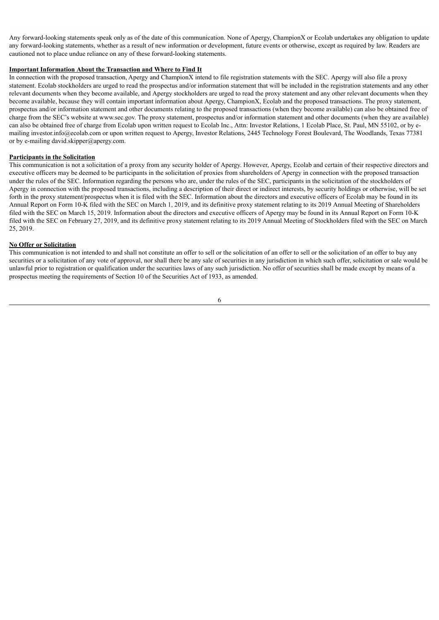Any forward-looking statements speak only as of the date of this communication. None of Apergy, ChampionX or Ecolab undertakes any obligation to update any forward-looking statements, whether as a result of new information or development, future events or otherwise, except as required by law. Readers are cautioned not to place undue reliance on any of these forward-looking statements.

## **Important Information About the Transaction and Where to Find It**

In connection with the proposed transaction, Apergy and ChampionX intend to file registration statements with the SEC. Apergy will also file a proxy statement. Ecolab stockholders are urged to read the prospectus and/or information statement that will be included in the registration statements and any other relevant documents when they become available, and Apergy stockholders are urged to read the proxy statement and any other relevant documents when they become available, because they will contain important information about Apergy, ChampionX, Ecolab and the proposed transactions. The proxy statement, prospectus and/or information statement and other documents relating to the proposed transactions (when they become available) can also be obtained free of charge from the SEC's website at www.sec.gov. The proxy statement, prospectus and/or information statement and other documents (when they are available) can also be obtained free of charge from Ecolab upon written request to Ecolab Inc., Attn: Investor Relations, 1 Ecolab Place, St. Paul, MN 55102, or by emailing investor.info@ecolab.com or upon written request to Apergy, Investor Relations, 2445 Technology Forest Boulevard, The Woodlands, Texas 77381 or by e-mailing david.skipper@apergy.com.

## **Participants in the Solicitation**

This communication is not a solicitation of a proxy from any security holder of Apergy. However, Apergy, Ecolab and certain of their respective directors and executive officers may be deemed to be participants in the solicitation of proxies from shareholders of Apergy in connection with the proposed transaction under the rules of the SEC. Information regarding the persons who are, under the rules of the SEC, participants in the solicitation of the stockholders of Apergy in connection with the proposed transactions, including a description of their direct or indirect interests, by security holdings or otherwise, will be set forth in the proxy statement/prospectus when it is filed with the SEC. Information about the directors and executive officers of Ecolab may be found in its Annual Report on Form 10-K filed with the SEC on March 1, 2019, and its definitive proxy statement relating to its 2019 Annual Meeting of Shareholders filed with the SEC on March 15, 2019. Information about the directors and executive officers of Apergy may be found in its Annual Report on Form 10-K filed with the SEC on February 27, 2019, and its definitive proxy statement relating to its 2019 Annual Meeting of Stockholders filed with the SEC on March 25, 2019.

## **No Offer or Solicitation**

This communication is not intended to and shall not constitute an offer to sell or the solicitation of an offer to sell or the solicitation of an offer to buy any securities or a solicitation of any vote of approval, nor shall there be any sale of securities in any jurisdiction in which such offer, solicitation or sale would be unlawful prior to registration or qualification under the securities laws of any such jurisdiction. No offer of securities shall be made except by means of a prospectus meeting the requirements of Section 10 of the Securities Act of 1933, as amended.